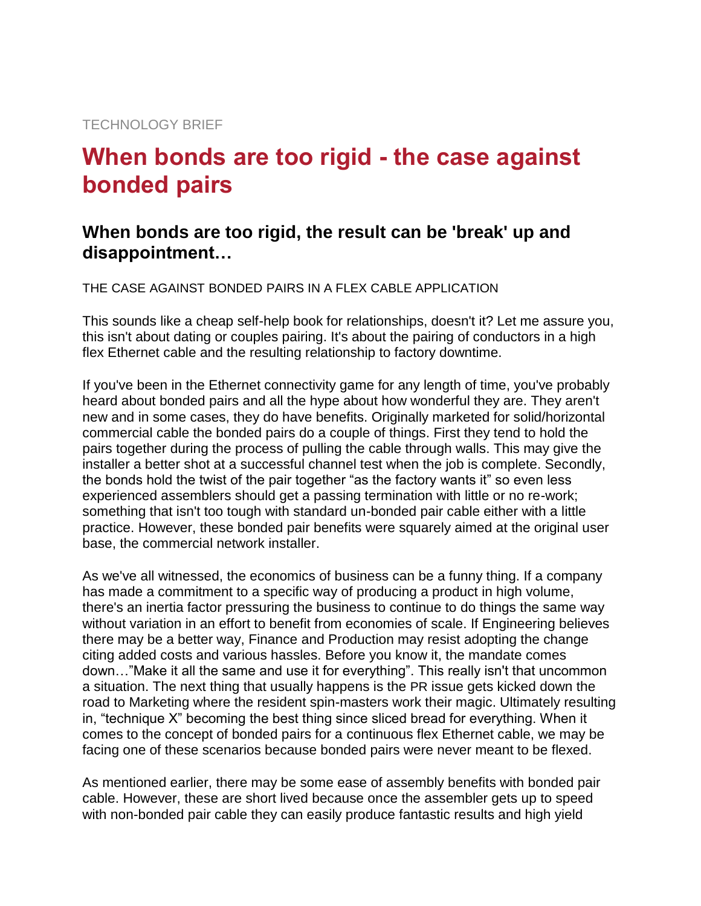## **When bonds are too rigid - the case against bonded pairs**

## **When bonds are too rigid, the result can be 'break' up and disappointment…**

THE CASE AGAINST BONDED PAIRS IN A FLEX CABLE APPLICATION

This sounds like a cheap self-help book for relationships, doesn't it? Let me assure you, this isn't about dating or couples pairing. It's about the pairing of conductors in a high flex Ethernet cable and the resulting relationship to factory downtime.

If you've been in the Ethernet connectivity game for any length of time, you've probably heard about bonded pairs and all the hype about how wonderful they are. They aren't new and in some cases, they do have benefits. Originally marketed for solid/horizontal commercial cable the bonded pairs do a couple of things. First they tend to hold the pairs together during the process of pulling the cable through walls. This may give the installer a better shot at a successful channel test when the job is complete. Secondly, the bonds hold the twist of the pair together "as the factory wants it" so even less experienced assemblers should get a passing termination with little or no re-work; something that isn't too tough with standard un-bonded pair cable either with a little practice. However, these bonded pair benefits were squarely aimed at the original user base, the commercial network installer.

As we've all witnessed, the economics of business can be a funny thing. If a company has made a commitment to a specific way of producing a product in high volume, there's an inertia factor pressuring the business to continue to do things the same way without variation in an effort to benefit from economies of scale. If Engineering believes there may be a better way, Finance and Production may resist adopting the change citing added costs and various hassles. Before you know it, the mandate comes down…"Make it all the same and use it for everything". This really isn't that uncommon a situation. The next thing that usually happens is the PR issue gets kicked down the road to Marketing where the resident spin-masters work their magic. Ultimately resulting in, "technique X" becoming the best thing since sliced bread for everything. When it comes to the concept of bonded pairs for a continuous flex Ethernet cable, we may be facing one of these scenarios because bonded pairs were never meant to be flexed.

As mentioned earlier, there may be some ease of assembly benefits with bonded pair cable. However, these are short lived because once the assembler gets up to speed with non-bonded pair cable they can easily produce fantastic results and high yield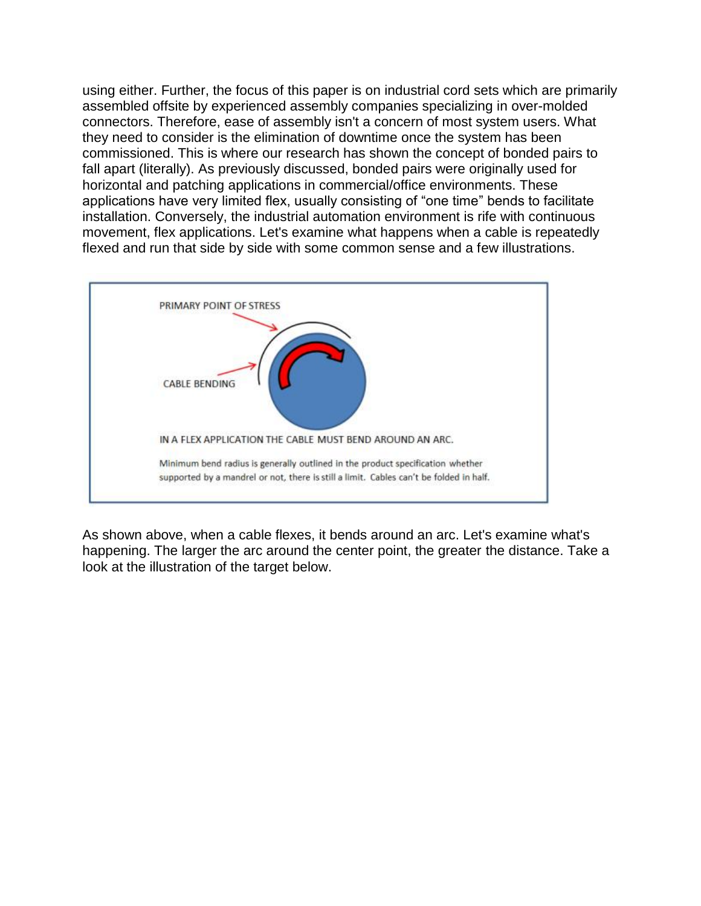using either. Further, the focus of this paper is on industrial cord sets which are primarily assembled offsite by experienced assembly companies specializing in over-molded connectors. Therefore, ease of assembly isn't a concern of most system users. What they need to consider is the elimination of downtime once the system has been commissioned. This is where our research has shown the concept of bonded pairs to fall apart (literally). As previously discussed, bonded pairs were originally used for horizontal and patching applications in commercial/office environments. These applications have very limited flex, usually consisting of "one time" bends to facilitate installation. Conversely, the industrial automation environment is rife with continuous movement, flex applications. Let's examine what happens when a cable is repeatedly flexed and run that side by side with some common sense and a few illustrations.



As shown above, when a cable flexes, it bends around an arc. Let's examine what's happening. The larger the arc around the center point, the greater the distance. Take a look at the illustration of the target below.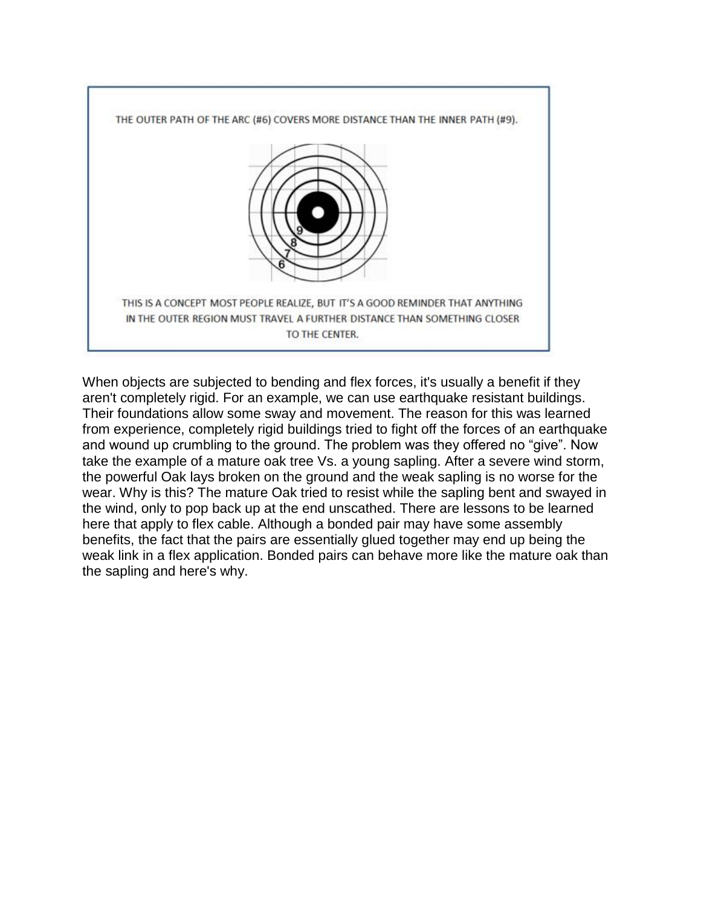

When objects are subjected to bending and flex forces, it's usually a benefit if they aren't completely rigid. For an example, we can use earthquake resistant buildings. Their foundations allow some sway and movement. The reason for this was learned from experience, completely rigid buildings tried to fight off the forces of an earthquake and wound up crumbling to the ground. The problem was they offered no "give". Now take the example of a mature oak tree Vs. a young sapling. After a severe wind storm, the powerful Oak lays broken on the ground and the weak sapling is no worse for the wear. Why is this? The mature Oak tried to resist while the sapling bent and swayed in the wind, only to pop back up at the end unscathed. There are lessons to be learned here that apply to flex cable. Although a bonded pair may have some assembly benefits, the fact that the pairs are essentially glued together may end up being the weak link in a flex application. Bonded pairs can behave more like the mature oak than the sapling and here's why.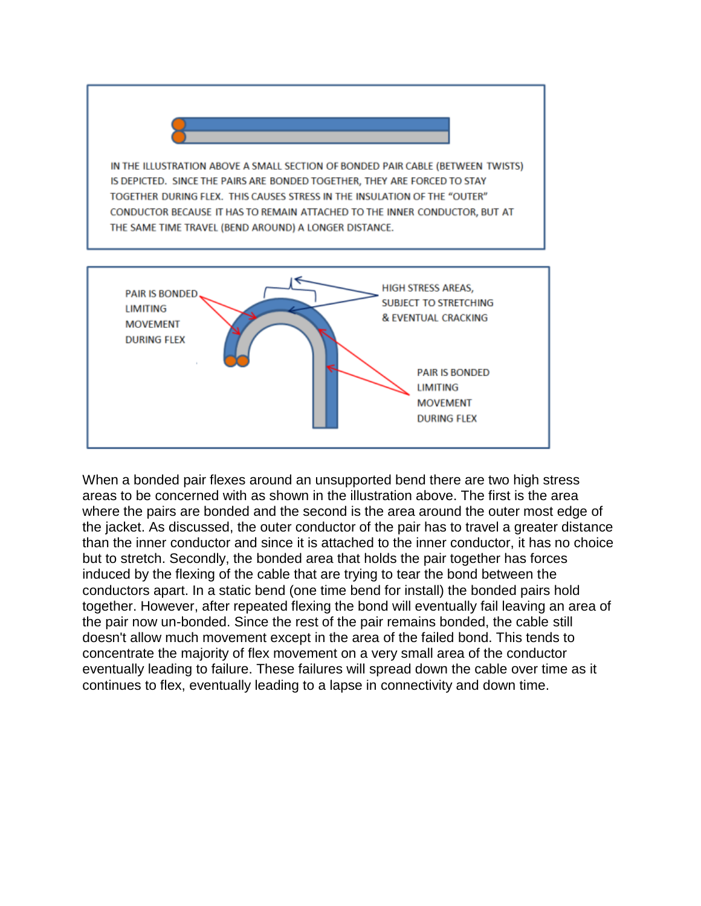IN THE ILLUSTRATION ABOVE A SMALL SECTION OF BONDED PAIR CABLE (BETWEEN TWISTS) IS DEPICTED. SINCE THE PAIRS ARE BONDED TOGETHER, THEY ARE FORCED TO STAY TOGETHER DURING FLEX. THIS CAUSES STRESS IN THE INSULATION OF THE "OUTER" CONDUCTOR BECAUSE IT HAS TO REMAIN ATTACHED TO THE INNER CONDUCTOR, BUT AT THE SAME TIME TRAVEL (BEND AROUND) A LONGER DISTANCE.



When a bonded pair flexes around an unsupported bend there are two high stress areas to be concerned with as shown in the illustration above. The first is the area where the pairs are bonded and the second is the area around the outer most edge of the jacket. As discussed, the outer conductor of the pair has to travel a greater distance than the inner conductor and since it is attached to the inner conductor, it has no choice but to stretch. Secondly, the bonded area that holds the pair together has forces induced by the flexing of the cable that are trying to tear the bond between the conductors apart. In a static bend (one time bend for install) the bonded pairs hold together. However, after repeated flexing the bond will eventually fail leaving an area of the pair now un-bonded. Since the rest of the pair remains bonded, the cable still doesn't allow much movement except in the area of the failed bond. This tends to concentrate the majority of flex movement on a very small area of the conductor eventually leading to failure. These failures will spread down the cable over time as it continues to flex, eventually leading to a lapse in connectivity and down time.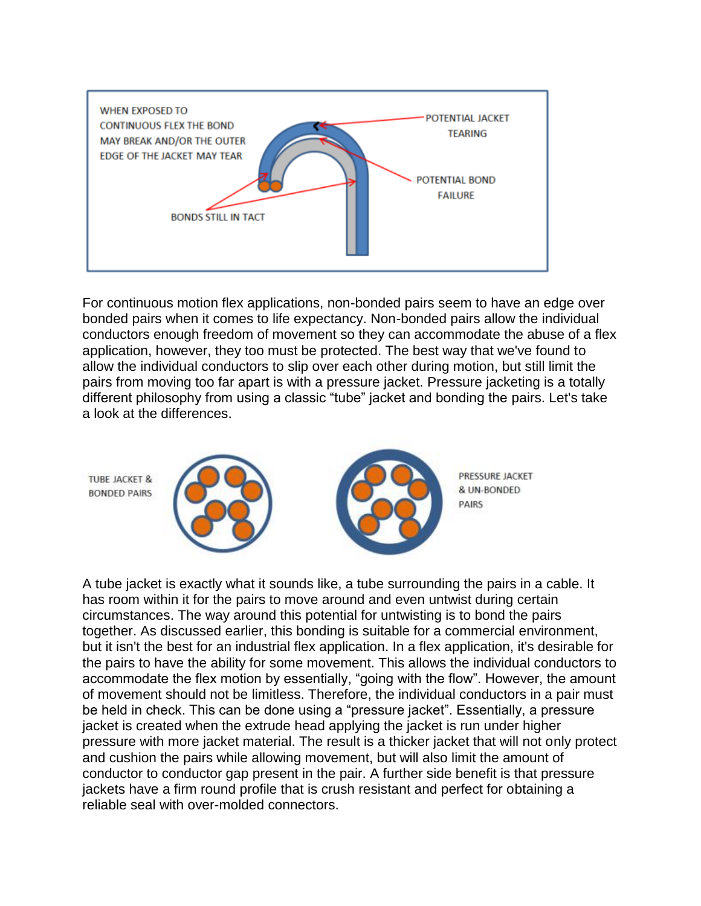

For continuous motion flex applications, non-bonded pairs seem to have an edge over bonded pairs when it comes to life expectancy. Non-bonded pairs allow the individual conductors enough freedom of movement so they can accommodate the abuse of a flex application, however, they too must be protected. The best way that we've found to allow the individual conductors to slip over each other during motion, but still limit the pairs from moving too far apart is with a pressure jacket. Pressure jacketing is a totally different philosophy from using a classic "tube" jacket and bonding the pairs. Let's take a look at the differences.

**TUBE JACKET & BONDED PAIRS** 





PRESSURE JACKET & UN-BONDED PAIRS

A tube jacket is exactly what it sounds like, a tube surrounding the pairs in a cable. It has room within it for the pairs to move around and even untwist during certain circumstances. The way around this potential for untwisting is to bond the pairs together. As discussed earlier, this bonding is suitable for a commercial environment, but it isn't the best for an industrial flex application. In a flex application, it's desirable for the pairs to have the ability for some movement. This allows the individual conductors to accommodate the flex motion by essentially, "going with the flow". However, the amount of movement should not be limitless. Therefore, the individual conductors in a pair must be held in check. This can be done using a "pressure jacket". Essentially, a pressure jacket is created when the extrude head applying the jacket is run under higher pressure with more jacket material. The result is a thicker jacket that will not only protect and cushion the pairs while allowing movement, but will also limit the amount of conductor to conductor gap present in the pair. A further side benefit is that pressure jackets have a firm round profile that is crush resistant and perfect for obtaining a reliable seal with over-molded connectors.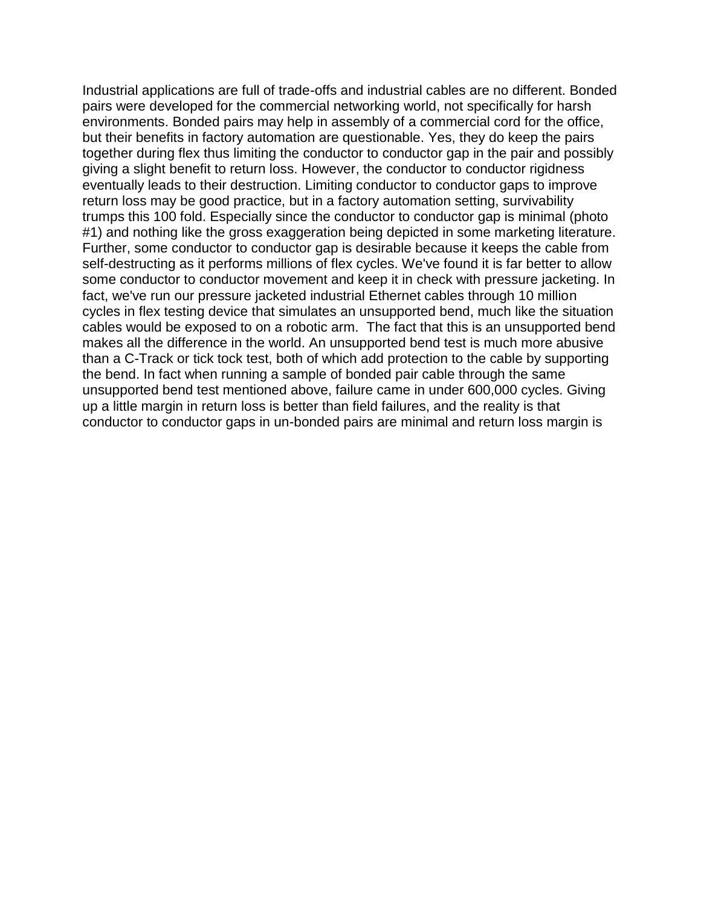Industrial applications are full of trade-offs and industrial cables are no different. Bonded pairs were developed for the commercial networking world, not specifically for harsh environments. Bonded pairs may help in assembly of a commercial cord for the office, but their benefits in factory automation are questionable. Yes, they do keep the pairs together during flex thus limiting the conductor to conductor gap in the pair and possibly giving a slight benefit to return loss. However, the conductor to conductor rigidness eventually leads to their destruction. Limiting conductor to conductor gaps to improve return loss may be good practice, but in a factory automation setting, survivability trumps this 100 fold. Especially since the conductor to conductor gap is minimal (photo #1) and nothing like the gross exaggeration being depicted in some marketing literature. Further, some conductor to conductor gap is desirable because it keeps the cable from self-destructing as it performs millions of flex cycles. We've found it is far better to allow some conductor to conductor movement and keep it in check with pressure jacketing. In fact, we've run our pressure jacketed industrial Ethernet cables through 10 million cycles in flex testing device that simulates an unsupported bend, much like the situation cables would be exposed to on a robotic arm. The fact that this is an unsupported bend makes all the difference in the world. An unsupported bend test is much more abusive than a C-Track or tick tock test, both of which add protection to the cable by supporting the bend. In fact when running a sample of bonded pair cable through the same unsupported bend test mentioned above, failure came in under 600,000 cycles. Giving up a little margin in return loss is better than field failures, and the reality is that conductor to conductor gaps in un-bonded pairs are minimal and return loss margin is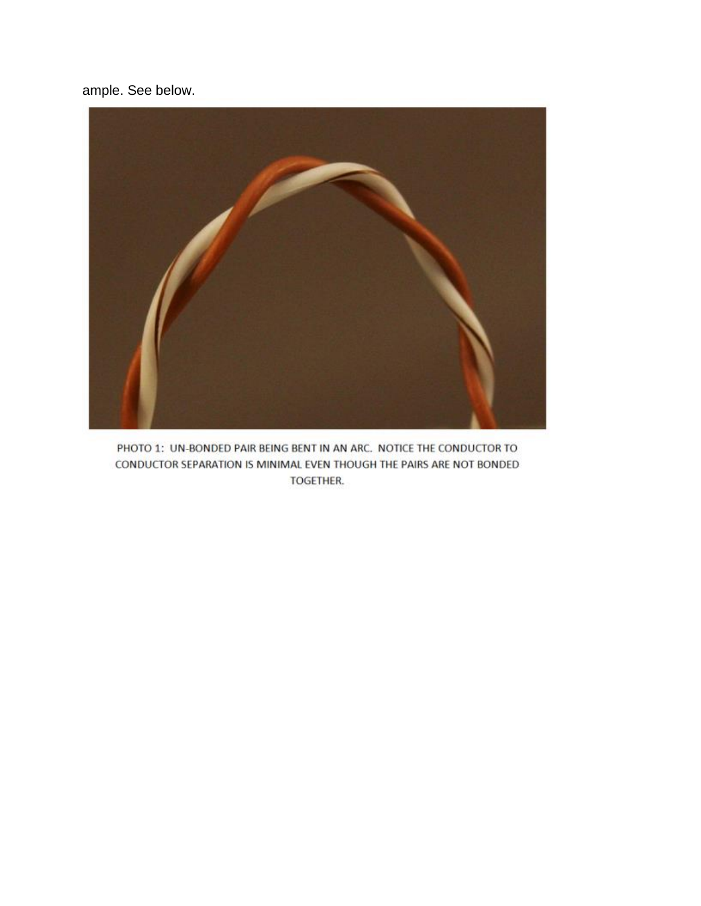ample. See below.



PHOTO 1: UN-BONDED PAIR BEING BENT IN AN ARC. NOTICE THE CONDUCTOR TO CONDUCTOR SEPARATION IS MINIMAL EVEN THOUGH THE PAIRS ARE NOT BONDED TOGETHER.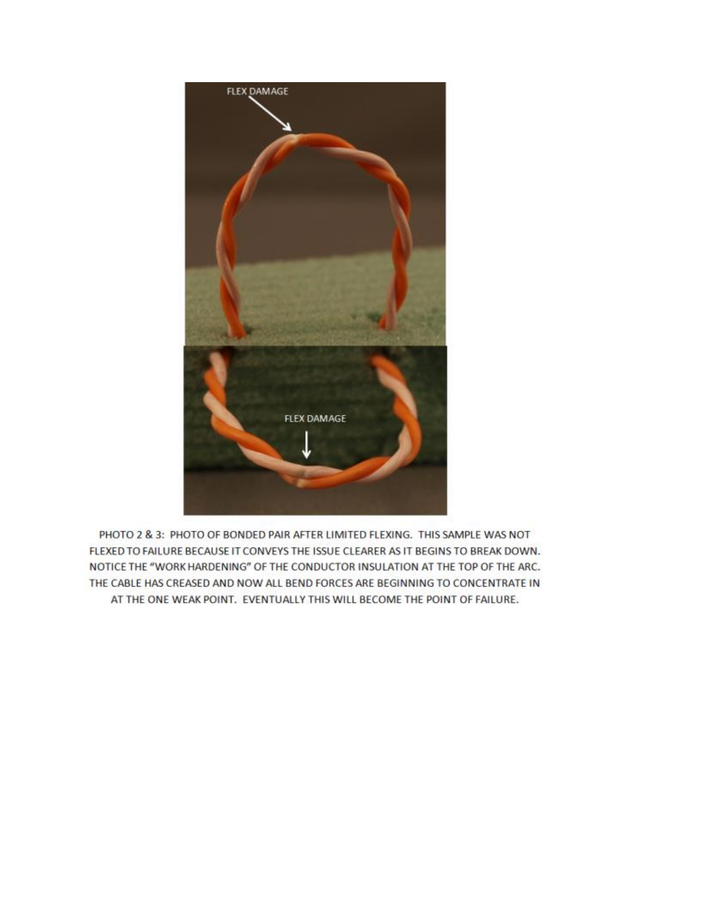

PHOTO 2 & 3: PHOTO OF BONDED PAIR AFTER LIMITED FLEXING. THIS SAMPLE WAS NOT FLEXED TO FAILURE BECAUSE IT CONVEYS THE ISSUE CLEARER AS IT BEGINS TO BREAK DOWN. NOTICE THE "WORK HARDENING" OF THE CONDUCTOR INSULATION AT THE TOP OF THE ARC. THE CABLE HAS CREASED AND NOW ALL BEND FORCES ARE BEGINNING TO CONCENTRATE IN AT THE ONE WEAK POINT. EVENTUALLY THIS WILL BECOME THE POINT OF FAILURE.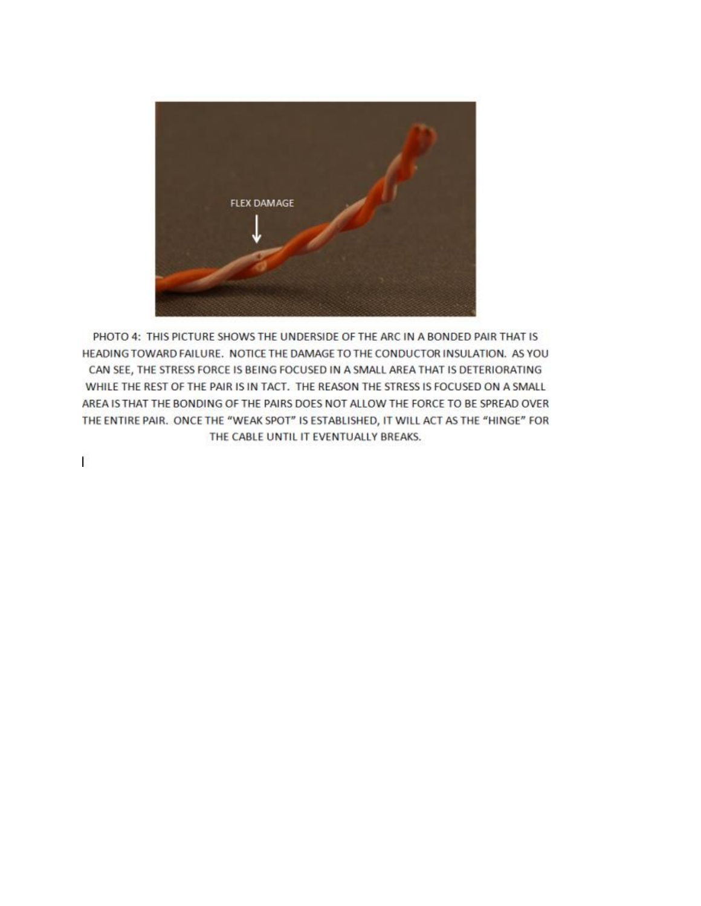

PHOTO 4: THIS PICTURE SHOWS THE UNDERSIDE OF THE ARC IN A BONDED PAIR THAT IS HEADING TOWARD FAILURE. NOTICE THE DAMAGE TO THE CONDUCTOR INSULATION. AS YOU CAN SEE, THE STRESS FORCE IS BEING FOCUSED IN A SMALL AREA THAT IS DETERIORATING WHILE THE REST OF THE PAIR IS IN TACT. THE REASON THE STRESS IS FOCUSED ON A SMALL AREA IS THAT THE BONDING OF THE PAIRS DOES NOT ALLOW THE FORCE TO BE SPREAD OVER THE ENTIRE PAIR. ONCE THE "WEAK SPOT" IS ESTABLISHED, IT WILL ACT AS THE "HINGE" FOR THE CABLE UNTIL IT EVENTUALLY BREAKS.

Ľ